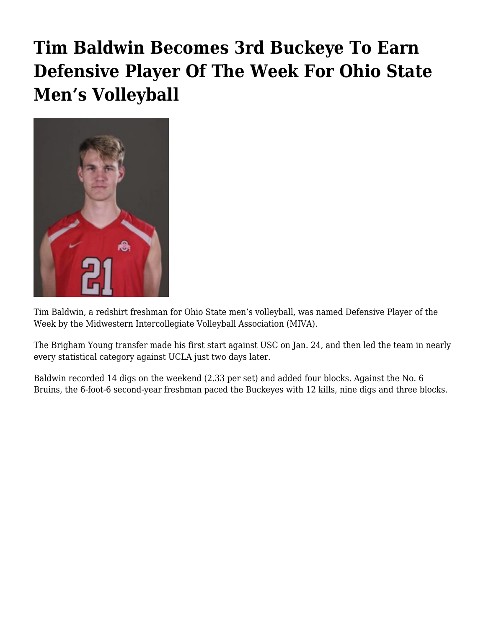## **[Tim Baldwin Becomes 3rd Buckeye To Earn](https://www.buckeyesports.com/tim-baldwin-becomes-3rd-buckeye-to-earn-defensive-player-of-the-week-for-ohio-state-mens-volleyball/) [Defensive Player Of The Week For Ohio State](https://www.buckeyesports.com/tim-baldwin-becomes-3rd-buckeye-to-earn-defensive-player-of-the-week-for-ohio-state-mens-volleyball/) [Men's Volleyball](https://www.buckeyesports.com/tim-baldwin-becomes-3rd-buckeye-to-earn-defensive-player-of-the-week-for-ohio-state-mens-volleyball/)**



Tim Baldwin, a redshirt freshman for Ohio State men's volleyball, was named Defensive Player of the Week by the Midwestern Intercollegiate Volleyball Association (MIVA).

The Brigham Young transfer made his first start against USC on Jan. 24, and then led the team in nearly every statistical category against UCLA just two days later.

Baldwin recorded 14 digs on the weekend (2.33 per set) and added four blocks. Against the No. 6 Bruins, the 6-foot-6 second-year freshman paced the Buckeyes with 12 kills, nine digs and three blocks.